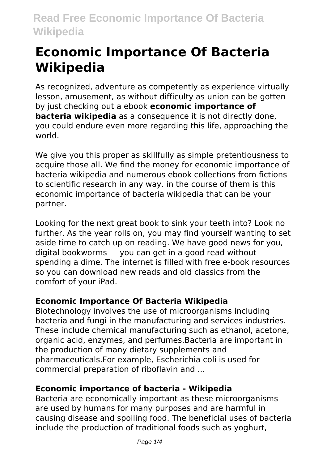# **Economic Importance Of Bacteria Wikipedia**

As recognized, adventure as competently as experience virtually lesson, amusement, as without difficulty as union can be gotten by just checking out a ebook **economic importance of bacteria wikipedia** as a consequence it is not directly done. you could endure even more regarding this life, approaching the world.

We give you this proper as skillfully as simple pretentiousness to acquire those all. We find the money for economic importance of bacteria wikipedia and numerous ebook collections from fictions to scientific research in any way. in the course of them is this economic importance of bacteria wikipedia that can be your partner.

Looking for the next great book to sink your teeth into? Look no further. As the year rolls on, you may find yourself wanting to set aside time to catch up on reading. We have good news for you, digital bookworms — you can get in a good read without spending a dime. The internet is filled with free e-book resources so you can download new reads and old classics from the comfort of your iPad.

# **Economic Importance Of Bacteria Wikipedia**

Biotechnology involves the use of microorganisms including bacteria and fungi in the manufacturing and services industries. These include chemical manufacturing such as ethanol, acetone, organic acid, enzymes, and perfumes.Bacteria are important in the production of many dietary supplements and pharmaceuticals.For example, Escherichia coli is used for commercial preparation of riboflavin and ...

#### **Economic importance of bacteria - Wikipedia**

Bacteria are economically important as these microorganisms are used by humans for many purposes and are harmful in causing disease and spoiling food. The beneficial uses of bacteria include the production of traditional foods such as yoghurt,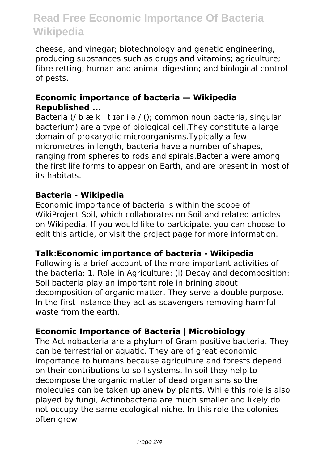# **Read Free Economic Importance Of Bacteria Wikipedia**

cheese, and vinegar; biotechnology and genetic engineering, producing substances such as drugs and vitamins; agriculture; fibre retting; human and animal digestion; and biological control of pests.

#### **Economic importance of bacteria — Wikipedia Republished ...**

Bacteria (/ b æ k ' t ɪər i ə / (); common noun bacteria, singular bacterium) are a type of biological cell.They constitute a large domain of prokaryotic microorganisms.Typically a few micrometres in length, bacteria have a number of shapes, ranging from spheres to rods and spirals.Bacteria were among the first life forms to appear on Earth, and are present in most of its habitats.

#### **Bacteria - Wikipedia**

Economic importance of bacteria is within the scope of WikiProject Soil, which collaborates on Soil and related articles on Wikipedia. If you would like to participate, you can choose to edit this article, or visit the project page for more information.

#### **Talk:Economic importance of bacteria - Wikipedia**

Following is a brief account of the more important activities of the bacteria: 1. Role in Agriculture: (i) Decay and decomposition: Soil bacteria play an important role in brining about decomposition of organic matter. They serve a double purpose. In the first instance they act as scavengers removing harmful waste from the earth.

#### **Economic Importance of Bacteria | Microbiology**

The Actinobacteria are a phylum of Gram-positive bacteria. They can be terrestrial or aquatic. They are of great economic importance to humans because agriculture and forests depend on their contributions to soil systems. In soil they help to decompose the organic matter of dead organisms so the molecules can be taken up anew by plants. While this role is also played by fungi, Actinobacteria are much smaller and likely do not occupy the same ecological niche. In this role the colonies often grow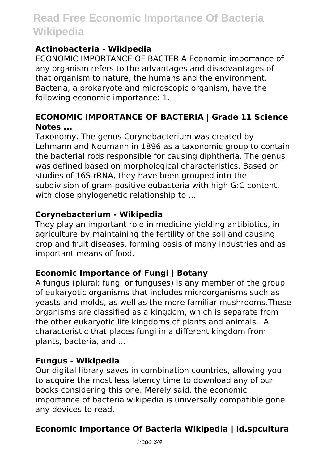# **Read Free Economic Importance Of Bacteria Wikipedia**

# **Actinobacteria - Wikipedia**

ECONOMIC IMPORTANCE OF BACTERIA Economic importance of any organism refers to the advantages and disadvantages of that organism to nature, the humans and the environment. Bacteria, a prokaryote and microscopic organism, have the following economic importance: 1.

# **ECONOMIC IMPORTANCE OF BACTERIA | Grade 11 Science Notes ...**

Taxonomy. The genus Corynebacterium was created by Lehmann and Neumann in 1896 as a taxonomic group to contain the bacterial rods responsible for causing diphtheria. The genus was defined based on morphological characteristics. Based on studies of 16S-rRNA, they have been grouped into the subdivision of gram-positive eubacteria with high G:C content, with close phylogenetic relationship to ...

### **Corynebacterium - Wikipedia**

They play an important role in medicine yielding antibiotics, in agriculture by maintaining the fertility of the soil and causing crop and fruit diseases, forming basis of many industries and as important means of food.

# **Economic Importance of Fungi | Botany**

A fungus (plural: fungi or funguses) is any member of the group of eukaryotic organisms that includes microorganisms such as yeasts and molds, as well as the more familiar mushrooms.These organisms are classified as a kingdom, which is separate from the other eukaryotic life kingdoms of plants and animals.. A characteristic that places fungi in a different kingdom from plants, bacteria, and ...

#### **Fungus - Wikipedia**

Our digital library saves in combination countries, allowing you to acquire the most less latency time to download any of our books considering this one. Merely said, the economic importance of bacteria wikipedia is universally compatible gone any devices to read.

# **Economic Importance Of Bacteria Wikipedia | id.spcultura**